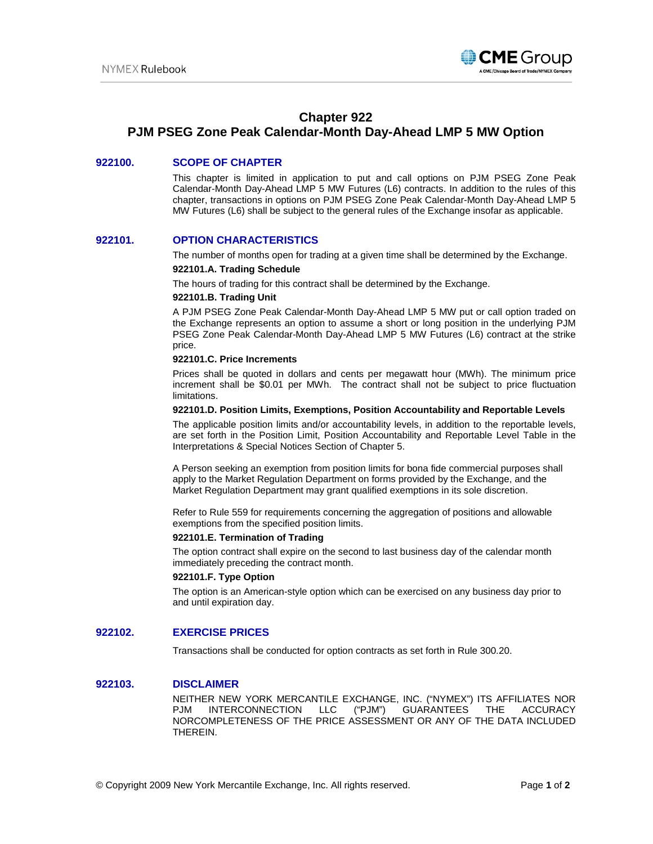

# **Chapter 922**

# **PJM PSEG Zone Peak Calendar-Month Day-Ahead LMP 5 MW Option**

## **922100. SCOPE OF CHAPTER**

This chapter is limited in application to put and call options on PJM PSEG Zone Peak Calendar-Month Day-Ahead LMP 5 MW Futures (L6) contracts. In addition to the rules of this chapter, transactions in options on PJM PSEG Zone Peak Calendar-Month Day-Ahead LMP 5 MW Futures (L6) shall be subject to the general rules of the Exchange insofar as applicable.

## **922101. OPTION CHARACTERISTICS**

The number of months open for trading at a given time shall be determined by the Exchange.

#### **922101.A. Trading Schedule**

The hours of trading for this contract shall be determined by the Exchange.

#### **922101.B. Trading Unit**

A PJM PSEG Zone Peak Calendar-Month Day-Ahead LMP 5 MW put or call option traded on the Exchange represents an option to assume a short or long position in the underlying PJM PSEG Zone Peak Calendar-Month Day-Ahead LMP 5 MW Futures (L6) contract at the strike price.

#### **922101.C. Price Increments**

Prices shall be quoted in dollars and cents per megawatt hour (MWh). The minimum price increment shall be \$0.01 per MWh. The contract shall not be subject to price fluctuation limitations.

#### **922101.D. Position Limits, Exemptions, Position Accountability and Reportable Levels**

The applicable position limits and/or accountability levels, in addition to the reportable levels, are set forth in the Position Limit, Position Accountability and Reportable Level Table in the Interpretations & Special Notices Section of Chapter 5.

A Person seeking an exemption from position limits for bona fide commercial purposes shall apply to the Market Regulation Department on forms provided by the Exchange, and the Market Regulation Department may grant qualified exemptions in its sole discretion.

Refer to Rule 559 for requirements concerning the aggregation of positions and allowable exemptions from the specified position limits.

#### **922101.E. Termination of Trading**

The option contract shall expire on the second to last business day of the calendar month immediately preceding the contract month.

## **922101.F. Type Option**

The option is an American-style option which can be exercised on any business day prior to and until expiration day.

# **922102. EXERCISE PRICES**

Transactions shall be conducted for option contracts as set forth in Rule 300.20.

## **922103. DISCLAIMER**

NEITHER NEW YORK MERCANTILE EXCHANGE, INC. ("NYMEX") ITS AFFILIATES NOR PJM INTERCONNECTION LLC ("PJM") GUARANTEES THE ACCURACY NORCOMPLETENESS OF THE PRICE ASSESSMENT OR ANY OF THE DATA INCLUDED THEREIN.